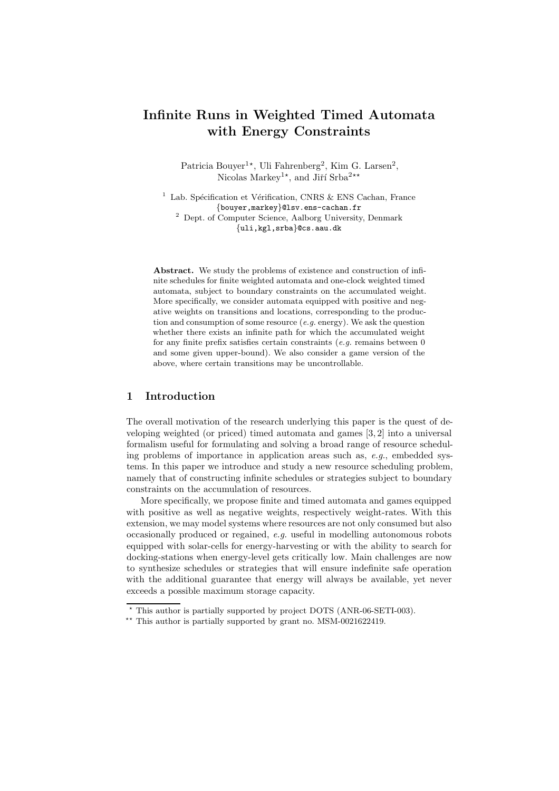# Infinite Runs in Weighted Timed Automata with Energy Constraints

Patricia Bouyer<sup>1\*</sup>, Uli Fahrenberg<sup>2</sup>, Kim G. Larsen<sup>2</sup>, Nicolas Markey<sup>1\*</sup>, and Jiří Srba<sup>2\*\*</sup>

<sup>1</sup> Lab. Spécification et Vérification, CNRS & ENS Cachan, France {bouyer,markey}@lsv.ens-cachan.fr <sup>2</sup> Dept. of Computer Science, Aalborg University, Denmark {uli,kgl,srba}@cs.aau.dk

Abstract. We study the problems of existence and construction of infinite schedules for finite weighted automata and one-clock weighted timed automata, subject to boundary constraints on the accumulated weight. More specifically, we consider automata equipped with positive and negative weights on transitions and locations, corresponding to the production and consumption of some resource  $(e.g.$  energy). We ask the question whether there exists an infinite path for which the accumulated weight for any finite prefix satisfies certain constraints  $(e.g.,$  remains between  $0$ and some given upper-bound). We also consider a game version of the above, where certain transitions may be uncontrollable.

# 1 Introduction

The overall motivation of the research underlying this paper is the quest of developing weighted (or priced) timed automata and games [3, 2] into a universal formalism useful for formulating and solving a broad range of resource scheduling problems of importance in application areas such as, e.g., embedded systems. In this paper we introduce and study a new resource scheduling problem, namely that of constructing infinite schedules or strategies subject to boundary constraints on the accumulation of resources.

More specifically, we propose finite and timed automata and games equipped with positive as well as negative weights, respectively weight-rates. With this extension, we may model systems where resources are not only consumed but also occasionally produced or regained, e.g. useful in modelling autonomous robots equipped with solar-cells for energy-harvesting or with the ability to search for docking-stations when energy-level gets critically low. Main challenges are now to synthesize schedules or strategies that will ensure indefinite safe operation with the additional guarantee that energy will always be available, yet never exceeds a possible maximum storage capacity.

<sup>⋆</sup> This author is partially supported by project DOTS (ANR-06-SETI-003).

<sup>\*\*</sup> This author is partially supported by grant no. MSM-0021622419.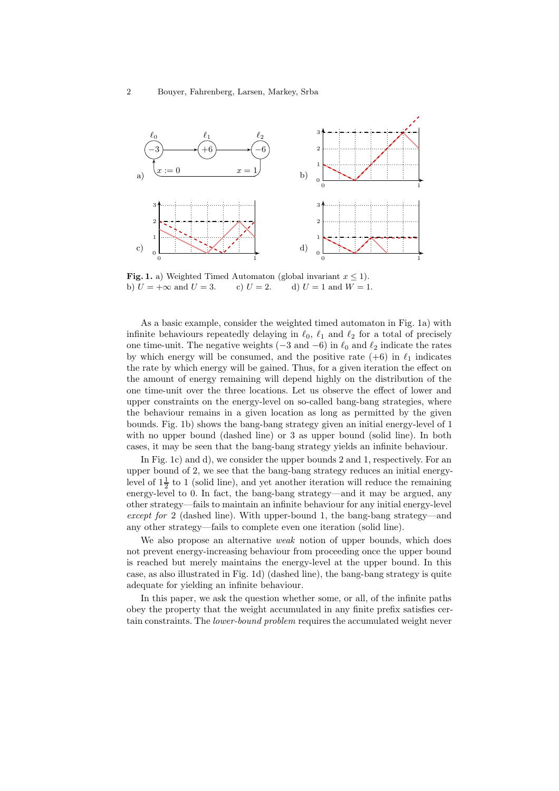

**Fig. 1.** a) Weighted Timed Automaton (global invariant  $x \le 1$ ). b)  $U = +\infty$  and  $U = 3$ . c)  $U = 2$ . d)  $U = 1$  and  $W = 1$ .

As a basic example, consider the weighted timed automaton in Fig. 1a) with infinite behaviours repeatedly delaying in  $\ell_0$ ,  $\ell_1$  and  $\ell_2$  for a total of precisely one time-unit. The negative weights ( $-3$  and  $-6$ ) in  $\ell_0$  and  $\ell_2$  indicate the rates by which energy will be consumed, and the positive rate  $(+6)$  in  $\ell_1$  indicates the rate by which energy will be gained. Thus, for a given iteration the effect on the amount of energy remaining will depend highly on the distribution of the one time-unit over the three locations. Let us observe the effect of lower and upper constraints on the energy-level on so-called bang-bang strategies, where the behaviour remains in a given location as long as permitted by the given bounds. Fig. 1b) shows the bang-bang strategy given an initial energy-level of 1 with no upper bound (dashed line) or 3 as upper bound (solid line). In both cases, it may be seen that the bang-bang strategy yields an infinite behaviour.

In Fig. 1c) and d), we consider the upper bounds 2 and 1, respectively. For an upper bound of 2, we see that the bang-bang strategy reduces an initial energylevel of  $1\frac{1}{2}$  to 1 (solid line), and yet another iteration will reduce the remaining energy-level to 0. In fact, the bang-bang strategy—and it may be argued, any other strategy—fails to maintain an infinite behaviour for any initial energy-level except for 2 (dashed line). With upper-bound 1, the bang-bang strategy—and any other strategy—fails to complete even one iteration (solid line).

We also propose an alternative *weak* notion of upper bounds, which does not prevent energy-increasing behaviour from proceeding once the upper bound is reached but merely maintains the energy-level at the upper bound. In this case, as also illustrated in Fig. 1d) (dashed line), the bang-bang strategy is quite adequate for yielding an infinite behaviour.

In this paper, we ask the question whether some, or all, of the infinite paths obey the property that the weight accumulated in any finite prefix satisfies certain constraints. The lower-bound problem requires the accumulated weight never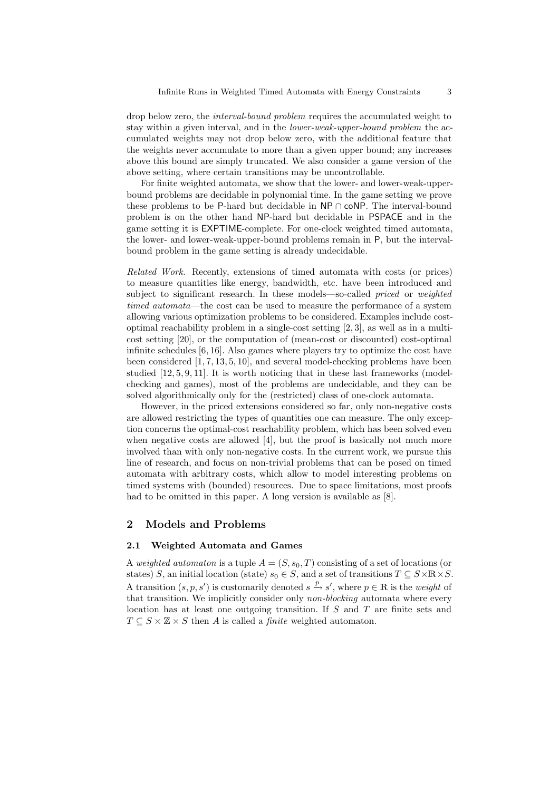drop below zero, the *interval-bound problem* requires the accumulated weight to stay within a given interval, and in the lower-weak-upper-bound problem the accumulated weights may not drop below zero, with the additional feature that the weights never accumulate to more than a given upper bound; any increases above this bound are simply truncated. We also consider a game version of the above setting, where certain transitions may be uncontrollable.

For finite weighted automata, we show that the lower- and lower-weak-upperbound problems are decidable in polynomial time. In the game setting we prove these problems to be P-hard but decidable in  $NP \cap coNP$ . The interval-bound problem is on the other hand NP-hard but decidable in PSPACE and in the game setting it is EXPTIME-complete. For one-clock weighted timed automata, the lower- and lower-weak-upper-bound problems remain in P, but the intervalbound problem in the game setting is already undecidable.

Related Work. Recently, extensions of timed automata with costs (or prices) to measure quantities like energy, bandwidth, etc. have been introduced and subject to significant research. In these models—so-called *priced* or *weighted* timed automata—the cost can be used to measure the performance of a system allowing various optimization problems to be considered. Examples include costoptimal reachability problem in a single-cost setting [2, 3], as well as in a multicost setting [20], or the computation of (mean-cost or discounted) cost-optimal infinite schedules [6, 16]. Also games where players try to optimize the cost have been considered [1, 7, 13, 5, 10], and several model-checking problems have been studied [12, 5, 9, 11]. It is worth noticing that in these last frameworks (modelchecking and games), most of the problems are undecidable, and they can be solved algorithmically only for the (restricted) class of one-clock automata.

However, in the priced extensions considered so far, only non-negative costs are allowed restricting the types of quantities one can measure. The only exception concerns the optimal-cost reachability problem, which has been solved even when negative costs are allowed [4], but the proof is basically not much more involved than with only non-negative costs. In the current work, we pursue this line of research, and focus on non-trivial problems that can be posed on timed automata with arbitrary costs, which allow to model interesting problems on timed systems with (bounded) resources. Due to space limitations, most proofs had to be omitted in this paper. A long version is available as  $[8]$ .

### 2 Models and Problems

## 2.1 Weighted Automata and Games

A weighted automaton is a tuple  $A = (S, s_0, T)$  consisting of a set of locations (or states) S, an initial location (state)  $s_0 \in S$ , and a set of transitions  $T \subseteq S \times \mathbb{R} \times S$ . A transition  $(s, p, s')$  is customarily denoted  $s \stackrel{p}{\to} s'$ , where  $p \in \mathbb{R}$  is the *weight* of that transition. We implicitly consider only *non-blocking* automata where every location has at least one outgoing transition. If S and T are finite sets and  $T \subseteq S \times \mathbb{Z} \times S$  then A is called a *finite* weighted automaton.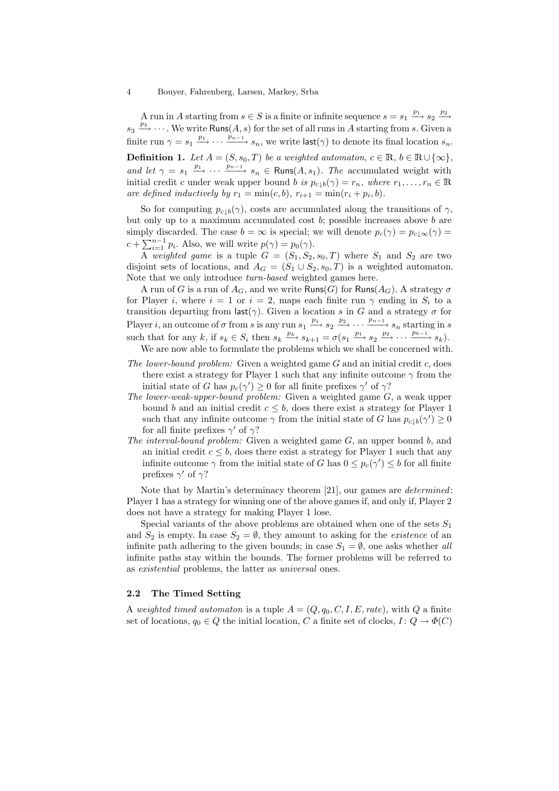A run in A starting from  $s \in S$  is a finite or infinite sequence  $s = s_1 \stackrel{p_1}{\longrightarrow} s_2 \stackrel{p_2}{\longrightarrow}$  $s_3 \stackrel{p_3}{\longrightarrow} \cdots$  We write  $\mathsf{Runs}(A,s)$  for the set of all runs in A starting from s. Given a finite run  $\gamma = s_1 \xrightarrow{p_1} \cdots \xrightarrow{p_{n-1}} s_n$ , we write  $\textsf{last}(\gamma)$  to denote its final location  $s_n$ . **Definition 1.** Let  $A = (S, s_0, T)$  be a weighted automaton,  $c \in \mathbb{R}$ ,  $b \in \mathbb{R} \cup \{\infty\}$ , and let  $\gamma = s_1 \stackrel{p_1}{\longrightarrow} \cdots \stackrel{p_{n-1}}{\longrightarrow} s_n \in \text{Runs}(A, s_1)$ . The accumulated weight with initial credit c under weak upper bound b is  $p_{c\downarrow b}(\gamma) = r_n$ , where  $r_1, \ldots, r_n \in \mathbb{R}$ are defined inductively by  $r_1 = \min(c, b)$ ,  $r_{i+1} = \min(r_i + p_i, b)$ .

So for computing  $p_{c|b}(\gamma)$ , costs are accumulated along the transitions of  $\gamma$ , but only up to a maximum accumulated cost  $b$ ; possible increases above  $b$  are simply discarded. The case  $b = \infty$  is special; we will denote  $p_c(\gamma) = p_{c\downarrow\infty}(\gamma) =$  $c + \sum_{i=1}^{n-1} p_i$ . Also, we will write  $p(\gamma) = p_0(\gamma)$ .

A weighted game is a tuple  $G = (S_1, S_2, s_0, T)$  where  $S_1$  and  $S_2$  are two disjoint sets of locations, and  $A_G = (S_1 \cup S_2, s_0, T)$  is a weighted automaton. Note that we only introduce turn-based weighted games here.

A run of G is a run of  $A_G$ , and we write  $\mathsf{Runs}(G)$  for  $\mathsf{Runs}(A_G)$ . A strategy  $\sigma$ for Player *i*, where  $i = 1$  or  $i = 2$ , maps each finite run  $\gamma$  ending in  $S_i$  to a transition departing from last( $\gamma$ ). Given a location s in G and a strategy  $\sigma$  for Player *i*, an outcome of  $\sigma$  from *s* is any run  $s_1 \xrightarrow{p_1} s_2 \xrightarrow{p_2} \cdots \xrightarrow{p_{n-1}} s_n$  starting in *s* such that for any k, if  $s_k \in S_i$  then  $s_k \xrightarrow{p_k} s_{k+1} = \sigma(s_1 \xrightarrow{p_1} s_2 \xrightarrow{p_2} \cdots \xrightarrow{p_{k-1}} s_k)$ . We are now able to formulate the problems which we shall be concerned with.

- The lower-bound problem: Given a weighted game  $G$  and an initial credit  $c$ , does there exist a strategy for Player 1 such that any infinite outcome  $\gamma$  from the initial state of G has  $p_c(\gamma') \ge 0$  for all finite prefixes  $\gamma'$  of  $\gamma$ ?
- The lower-weak-upper-bound problem: Given a weighted game G, a weak upper bound b and an initial credit  $c \leq b$ , does there exist a strategy for Player 1 such that any infinite outcome  $\gamma$  from the initial state of G has  $p_{c,b}(\gamma') \geq 0$ for all finite prefixes  $\gamma'$  of  $\gamma$ ?
- The interval-bound problem: Given a weighted game G, an upper bound b, and an initial credit  $c \leq b$ , does there exist a strategy for Player 1 such that any infinite outcome  $\gamma$  from the initial state of G has  $0 \le p_c(\gamma') \le b$  for all finite prefixes  $\gamma'$  of  $\gamma$ ?

Note that by Martin's determinacy theorem [21], our games are determined: Player 1 has a strategy for winning one of the above games if, and only if, Player 2 does not have a strategy for making Player 1 lose.

Special variants of the above problems are obtained when one of the sets  $S_1$ and  $S_2$  is empty. In case  $S_2 = \emptyset$ , they amount to asking for the *existence* of an infinite path adhering to the given bounds; in case  $S_1 = \emptyset$ , one asks whether all infinite paths stay within the bounds. The former problems will be referred to as existential problems, the latter as universal ones.

## 2.2 The Timed Setting

A weighted timed automaton is a tuple  $A = (Q, q_0, C, I, E, rate)$ , with Q a finite set of locations,  $q_0 \in Q$  the initial location, C a finite set of clocks,  $I: Q \to \Phi(C)$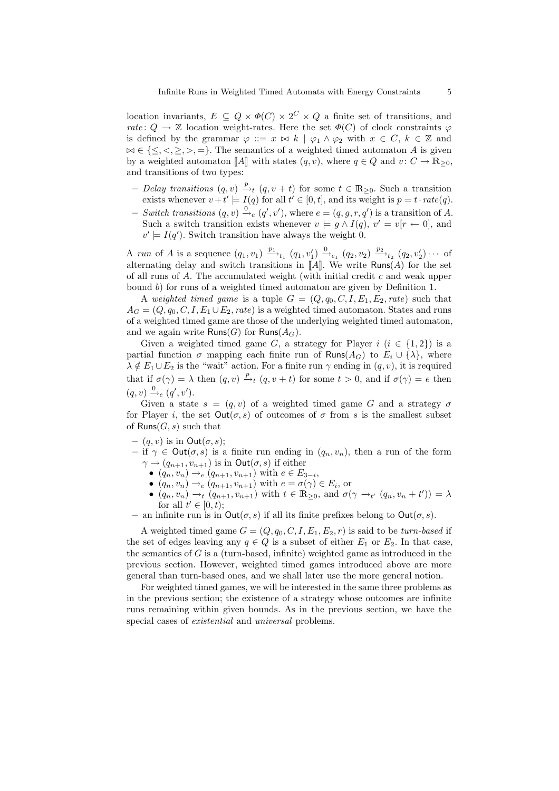location invariants,  $E \subseteq Q \times \Phi(C) \times 2^C \times Q$  a finite set of transitions, and rate:  $Q \to \mathbb{Z}$  location weight-rates. Here the set  $\Phi(C)$  of clock constraints  $\varphi$ is defined by the grammar  $\varphi ::= x \bowtie k \mid \varphi_1 \wedge \varphi_2$  with  $x \in C, k \in \mathbb{Z}$  and  $\bowtie \in \{\leq, <, \geq, >, =\}.$  The semantics of a weighted timed automaton A is given by a weighted automaton  $\llbracket A \rrbracket$  with states  $(q, v)$ , where  $q \in Q$  and  $v : C \to \mathbb{R}_{\geq 0}$ , and transitions of two types:

- Delay transitions  $(q, v) \xrightarrow{p} (q, v + t)$  for some  $t \in \mathbb{R}_{\geq 0}$ . Such a transition exists whenever  $v + t' \models I(q)$  for all  $t' \in [0, t]$ , and its weight is  $p = t \cdot rate(q)$ .
- $-$  Switch transitions  $(q, v) \stackrel{0}{\rightarrow} e(q', v')$ , where  $e = (q, g, r, q')$  is a transition of A. Such a switch transition exists whenever  $v \models g \land I(q)$ ,  $v' = v[r \leftarrow 0]$ , and  $v' \models I(q')$ . Switch transition have always the weight 0.

A run of A is a sequence  $(q_1, v_1) \xrightarrow{p_1} (q_1, v'_1) \xrightarrow{0} (q_2, v_2) \xrightarrow{p_2} (q_2, v'_2) \cdots$  of alternating delay and switch transitions in  $\llbracket A \rrbracket$ . We write  $\mathsf{Runs}(A)$  for the set of all runs of  $A$ . The accumulated weight (with initial credit  $c$  and weak upper bound b) for runs of a weighted timed automaton are given by Definition 1.

A weighted timed game is a tuple  $G = (Q, q_0, C, I, E_1, E_2, rate)$  such that  $A_G = (Q, q_0, C, I, E_1 \cup E_2, rate)$  is a weighted timed automaton. States and runs of a weighted timed game are those of the underlying weighted timed automaton, and we again write  $\mathsf{Runs}(G)$  for  $\mathsf{Runs}(A_G)$ .

Given a weighted timed game G, a strategy for Player  $i$   $(i \in \{1,2\})$  is a partial function  $\sigma$  mapping each finite run of Runs( $A_G$ ) to  $E_i \cup \{\lambda\}$ , where  $\lambda \notin E_1 \cup E_2$  is the "wait" action. For a finite run  $\gamma$  ending in  $(q, v)$ , it is required that if  $\sigma(\gamma) = \lambda$  then  $(q, v) \stackrel{p}{\rightarrow} t (q, v + t)$  for some  $t > 0$ , and if  $\sigma(\gamma) = e$  then  $(q, v) \xrightarrow{0} (q', v').$ 

Given a state  $s = (q, v)$  of a weighted timed game G and a strategy  $\sigma$ for Player i, the set  $Out(\sigma, s)$  of outcomes of  $\sigma$  from s is the smallest subset of Runs $(G, s)$  such that

- $(q, v)$  is in Out $(\sigma, s)$ ;
- if  $\gamma \in \text{Out}(\sigma, s)$  is a finite run ending in  $(q_n, v_n)$ , then a run of the form  $\gamma \rightarrow (q_{n+1}, v_{n+1})$  is in  $Out(\sigma, s)$  if either
	- $(q_n, v_n) \rightarrow_e (q_{n+1}, v_{n+1})$  with  $e \in E_{3-i}$ ,
	- $(q_n, v_n) \rightarrow_e (q_{n+1}, v_{n+1})$  with  $e = \sigma(\gamma) \in E_i$ , or
	- $(q_n, v_n) \rightarrow_t (q_{n+1}, v_{n+1})$  with  $t \in \mathbb{R}_{\geq 0}$ , and  $\sigma(\gamma \rightarrow_{t'} (q_n, v_n + t')) = \lambda$ for all  $t' \in [0, t)$ ;
- an infinite run is in  $\text{Out}(\sigma, s)$  if all its finite prefixes belong to  $\text{Out}(\sigma, s)$ .

A weighted timed game  $G = (Q, q_0, C, I, E_1, E_2, r)$  is said to be turn-based if the set of edges leaving any  $q \in Q$  is a subset of either  $E_1$  or  $E_2$ . In that case, the semantics of  $G$  is a (turn-based, infinite) weighted game as introduced in the previous section. However, weighted timed games introduced above are more general than turn-based ones, and we shall later use the more general notion.

For weighted timed games, we will be interested in the same three problems as in the previous section; the existence of a strategy whose outcomes are infinite runs remaining within given bounds. As in the previous section, we have the special cases of *existential* and *universal* problems.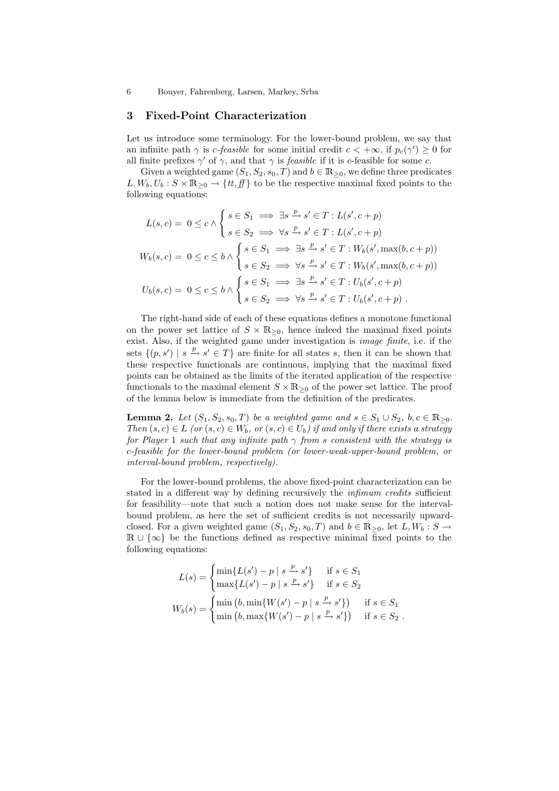### 3 Fixed-Point Characterization

Let us introduce some terminology. For the lower-bound problem, we say that an infinite path  $\gamma$  is *c*-feasible for some initial credit  $c < +\infty$ , if  $p_c(\gamma) \geq 0$  for all finite prefixes  $\gamma'$  of  $\gamma$ , and that  $\gamma$  is *feasible* if it is *c*-feasible for some *c*.

Given a weighted game  $(S_1, S_2, s_0, T)$  and  $b \in \mathbb{R}_{\geq 0}$ , we define three predicates  $L, W_b, U_b: S \times \mathbb{R}_{\geq 0} \to \{tt, ff\}$  to be the respective maximal fixed points to the following equations:

$$
L(s,c) = 0 \le c \land \begin{cases} s \in S_1 \implies \exists s \xrightarrow{p} s' \in T : L(s',c+p) \\ s \in S_2 \implies \forall s \xrightarrow{p} s' \in T : L(s',c+p) \end{cases}
$$
  
\n
$$
W_b(s,c) = 0 \le c \le b \land \begin{cases} s \in S_1 \implies \exists s \xrightarrow{p} s' \in T : W_b(s',\max(b,c+p)) \\ s \in S_2 \implies \forall s \xrightarrow{p} s' \in T : W_b(s',\max(b,c+p)) \end{cases}
$$
  
\n
$$
U_b(s,c) = 0 \le c \le b \land \begin{cases} s \in S_1 \implies \exists s \xrightarrow{p} s' \in T : U_b(s',c+p) \\ s \in S_2 \implies \forall s \xrightarrow{p} s' \in T : U_b(s',c+p) \end{cases}
$$

The right-hand side of each of these equations defines a monotone functional on the power set lattice of  $S \times \mathbb{R}_{\geq 0}$ , hence indeed the maximal fixed points exist. Also, if the weighted game under investigation is image finite, i.e. if the sets  $\{(p, s') \mid s \stackrel{p}{\to} s' \in T\}$  are finite for all states s, then it can be shown that these respective functionals are continuous, implying that the maximal fixed points can be obtained as the limits of the iterated application of the respective functionals to the maximal element  $S \times \mathbb{R}_{\geq 0}$  of the power set lattice. The proof of the lemma below is immediate from the definition of the predicates.

**Lemma 2.** Let  $(S_1, S_2, s_0, T)$  be a weighted game and  $s \in S_1 \cup S_2$ ,  $b, c \in \mathbb{R}_{\geq 0}$ . Then  $(s, c) \in L$  (or  $(s, c) \in W_b$ , or  $(s, c) \in U_b$ ) if and only if there exists a strategy for Player 1 such that any infinite path  $\gamma$  from s consistent with the strategy is c-feasible for the lower-bound problem (or lower-weak-upper-bound problem, or interval-bound problem, respectively).

For the lower-bound problems, the above fixed-point characterization can be stated in a different way by defining recursively the infimum credits sufficient for feasibility—note that such a notion does not make sense for the intervalbound problem, as here the set of sufficient credits is not necessarily upwardclosed. For a given weighted game  $(S_1, S_2, s_0, T)$  and  $b \in \mathbb{R}_{\geq 0}$ , let  $L, W_b : S \to$  $\mathbb{R} \cup \{\infty\}$  be the functions defined as respective minimal fixed points to the following equations:

$$
L(s) = \begin{cases} \min\{L(s') - p \mid s \xrightarrow{p} s'\} & \text{if } s \in S_1 \\ \max\{L(s') - p \mid s \xrightarrow{p} s'\} & \text{if } s \in S_2 \end{cases}
$$
  

$$
W_b(s) = \begin{cases} \min(b, \min\{W(s') - p \mid s \xrightarrow{p} s'\}) & \text{if } s \in S_1 \\ \min(b, \max\{W(s') - p \mid s \xrightarrow{p} s'\}) & \text{if } s \in S_2 \end{cases}.
$$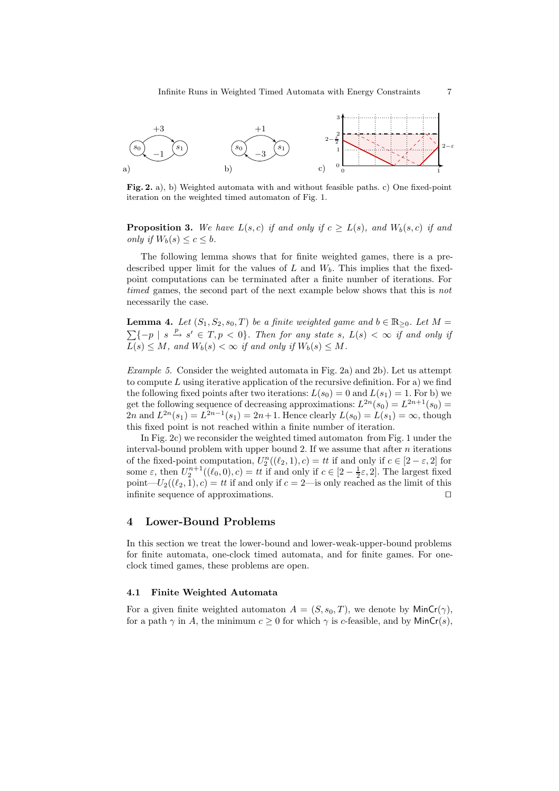

Fig. 2. a), b) Weighted automata with and without feasible paths. c) One fixed-point iteration on the weighted timed automaton of Fig. 1.

**Proposition 3.** We have  $L(s, c)$  if and only if  $c \ge L(s)$ , and  $W_b(s, c)$  if and only if  $W_b(s) \leq c \leq b$ .

The following lemma shows that for finite weighted games, there is a predescribed upper limit for the values of  $L$  and  $W_b$ . This implies that the fixedpoint computations can be terminated after a finite number of iterations. For timed games, the second part of the next example below shows that this is not necessarily the case.

**Lemma 4.** Let  $(S_1, S_2, s_0, T)$  be a finite weighted game and  $b \in \mathbb{R}_{\geq 0}$ . Let  $M =$  $\sum \{-p \mid s \stackrel{p}{\rightarrow} s' \in T, p < 0\}$ . Then for any state s,  $L(s) < \infty$  if and only if  $\overline{L(s)} \leq M$ , and  $W_b(s) < \infty$  if and only if  $W_b(s) \leq M$ .

Example 5. Consider the weighted automata in Fig. 2a) and 2b). Let us attempt to compute  $L$  using iterative application of the recursive definition. For a) we find the following fixed points after two iterations:  $L(s_0) = 0$  and  $L(s_1) = 1$ . For b) we get the following sequence of decreasing approximations:  $L^{2n}(s_0) = L^{2n+1}(s_0) =$ 2n and  $L^{2n}(s_1) = L^{2n-1}(s_1) = 2n+1$ . Hence clearly  $L(s_0) = L(s_1) = \infty$ , though this fixed point is not reached within a finite number of iteration.

In Fig. 2c) we reconsider the weighted timed automaton from Fig. 1 under the interval-bound problem with upper bound 2. If we assume that after  $n$  iterations of the fixed-point computation,  $U_2^n((\ell_2, 1), c) = tt$  if and only if  $c \in [2 - \varepsilon, 2]$  for some  $\varepsilon$ , then  $U_2^{n+1}((\ell_0,0),c) = tt$  if and only if  $c \in [2-\frac{1}{2}\varepsilon,2]$ . The largest fixed point— $U_2((\ell_2, 1), c) = tt$  if and only if  $c = 2$ —is only reached as the limit of this infinite sequence of approximations. ⊓⊔

## 4 Lower-Bound Problems

In this section we treat the lower-bound and lower-weak-upper-bound problems for finite automata, one-clock timed automata, and for finite games. For oneclock timed games, these problems are open.

### 4.1 Finite Weighted Automata

For a given finite weighted automaton  $A = (S, s_0, T)$ , we denote by MinCr( $\gamma$ ), for a path  $\gamma$  in A, the minimum  $c \geq 0$  for which  $\gamma$  is c-feasible, and by MinCr(s),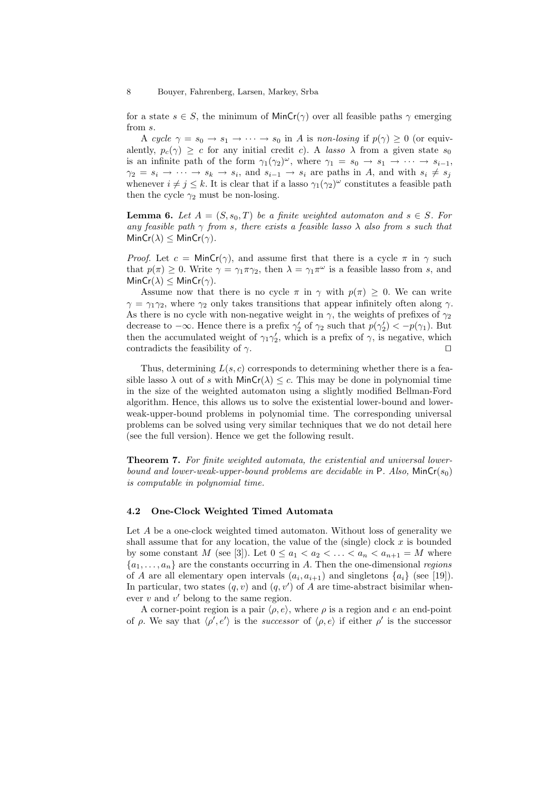for a state  $s \in S$ , the minimum of MinCr( $\gamma$ ) over all feasible paths  $\gamma$  emerging from s.

A cycle  $\gamma = s_0 \rightarrow s_1 \rightarrow \cdots \rightarrow s_0$  in A is non-losing if  $p(\gamma) \geq 0$  (or equivalently,  $p_c(\gamma) \geq c$  for any initial credit c). A lasso  $\lambda$  from a given state s<sub>0</sub> is an infinite path of the form  $\gamma_1(\gamma_2)^\omega$ , where  $\gamma_1 = s_0 \to s_1 \to \cdots \to s_{i-1}$ ,  $\gamma_2 = s_i \rightarrow \cdots \rightarrow s_k \rightarrow s_i$ , and  $s_{i-1} \rightarrow s_i$  are paths in A, and with  $s_i \neq s_j$ whenever  $i \neq j \leq k$ . It is clear that if a lasso  $\gamma_1(\gamma_2)^\omega$  constitutes a feasible path then the cycle  $\gamma_2$  must be non-losing.

**Lemma 6.** Let  $A = (S, s_0, T)$  be a finite weighted automaton and  $s \in S$ . For any feasible path  $\gamma$  from s, there exists a feasible lasso  $\lambda$  also from s such that  $MinCr(\lambda) \leq MinCr(\gamma)$ .

*Proof.* Let  $c = \text{MinCr}(\gamma)$ , and assume first that there is a cycle  $\pi$  in  $\gamma$  such that  $p(\pi) \geq 0$ . Write  $\gamma = \gamma_1 \pi \gamma_2$ , then  $\lambda = \gamma_1 \pi^{\omega}$  is a feasible lasso from s, and  $MinCr(\lambda) \leq MinCr(\gamma)$ .

Assume now that there is no cycle  $\pi$  in  $\gamma$  with  $p(\pi) \geq 0$ . We can write  $\gamma = \gamma_1 \gamma_2$ , where  $\gamma_2$  only takes transitions that appear infinitely often along  $\gamma$ . As there is no cycle with non-negative weight in  $\gamma$ , the weights of prefixes of  $\gamma_2$ decrease to  $-\infty$ . Hence there is a prefix  $\gamma'_2$  of  $\gamma_2$  such that  $p(\gamma'_2) < -p(\gamma_1)$ . But then the accumulated weight of  $\gamma_1 \gamma_2'$ , which is a prefix of  $\gamma$ , is negative, which contradicts the feasibility of  $\gamma$ . □

Thus, determining  $L(s, c)$  corresponds to determining whether there is a feasible lasso  $\lambda$  out of s with  $\mathsf{MinCr}(\lambda) \leq c$ . This may be done in polynomial time in the size of the weighted automaton using a slightly modified Bellman-Ford algorithm. Hence, this allows us to solve the existential lower-bound and lowerweak-upper-bound problems in polynomial time. The corresponding universal problems can be solved using very similar techniques that we do not detail here (see the full version). Hence we get the following result.

**Theorem 7.** For finite weighted automata, the existential and universal lowerbound and lower-weak-upper-bound problems are decidable in  $P$ . Also, MinCr( $s_0$ ) is computable in polynomial time.

#### 4.2 One-Clock Weighted Timed Automata

Let A be a one-clock weighted timed automaton. Without loss of generality we shall assume that for any location, the value of the (single) clock  $x$  is bounded by some constant M (see [3]). Let  $0 \le a_1 < a_2 < \ldots < a_n < a_{n+1} = M$  where  ${a_1, \ldots, a_n}$  are the constants occurring in A. Then the one-dimensional *regions* of A are all elementary open intervals  $(a_i, a_{i+1})$  and singletons  $\{a_i\}$  (see [19]). In particular, two states  $(q, v)$  and  $(q, v')$  of A are time-abstract bisimilar whenever  $v$  and  $v'$  belong to the same region.

A corner-point region is a pair  $\langle \rho, e \rangle$ , where  $\rho$  is a region and e an end-point of  $\rho$ . We say that  $\langle \rho', e' \rangle$  is the successor of  $\langle \rho, e \rangle$  if either  $\rho'$  is the successor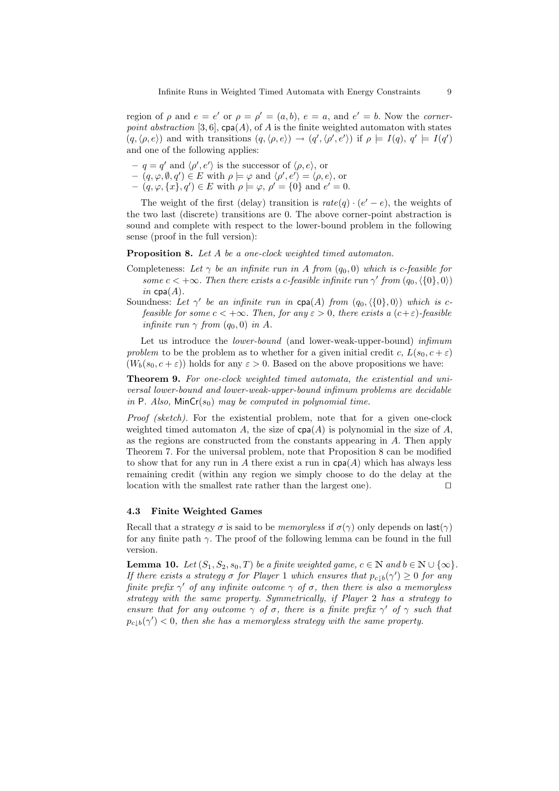region of  $\rho$  and  $e = e'$  or  $\rho = \rho' = (a, b), e = a$ , and  $e' = b$ . Now the *corner*point abstraction [3, 6],  $cpa(A)$ , of A is the finite weighted automaton with states  $(q, \langle \rho, e \rangle)$  and with transitions  $(q, \langle \rho, e \rangle) \rightarrow (q', \langle \rho', e' \rangle)$  if  $\rho \models I(q), q' \models I(q')$ and one of the following applies:

- $-q = q'$  and  $\langle \rho', e' \rangle$  is the successor of  $\langle \rho, e \rangle$ , or
- $-(q, \varphi, \emptyset, q') \in E$  with  $\rho \models \varphi$  and  $\langle \rho', e' \rangle = \langle \rho, e \rangle$ , or
- $-(q, \varphi, \{x\}, q') \in E \text{ with } \rho \models \varphi, \rho' = \{0\} \text{ and } e' = 0.$

The weight of the first (delay) transition is  $rate(q) \cdot (e' - e)$ , the weights of the two last (discrete) transitions are 0. The above corner-point abstraction is sound and complete with respect to the lower-bound problem in the following sense (proof in the full version):

Proposition 8. Let A be a one-clock weighted timed automaton.

- Completeness: Let  $\gamma$  be an infinite run in A from  $(q_0, 0)$  which is c-feasible for some  $c < +\infty$ . Then there exists a c-feasible infinite run  $\gamma'$  from  $(q_0, \langle \{0\}, 0 \rangle)$ in  $cpa(A)$ .
- Soundness: Let  $\gamma'$  be an infinite run in  $\textsf{cpa}(A)$  from  $(q_0, \langle \{0\}, 0 \rangle)$  which is cfeasible for some  $c < +\infty$ . Then, for any  $\varepsilon > 0$ , there exists a  $(c+\varepsilon)$ -feasible infinite run  $\gamma$  from  $(q_0, 0)$  in A.

Let us introduce the *lower-bound* (and lower-weak-upper-bound) *infimum* problem to be the problem as to whether for a given initial credit c,  $L(s_0, c + \varepsilon)$  $(W_b(s_0, c + \varepsilon))$  holds for any  $\varepsilon > 0$ . Based on the above propositions we have:

Theorem 9. For one-clock weighted timed automata, the existential and universal lower-bound and lower-weak-upper-bound infimum problems are decidable in P. Also,  $MinCr(s_0)$  may be computed in polynomial time.

Proof (sketch). For the existential problem, note that for a given one-clock weighted timed automaton A, the size of  $\text{cpa}(A)$  is polynomial in the size of A, as the regions are constructed from the constants appearing in A. Then apply Theorem 7. For the universal problem, note that Proposition 8 can be modified to show that for any run in A there exist a run in  $\text{cpa}(A)$  which has always less remaining credit (within any region we simply choose to do the delay at the location with the smallest rate rather than the largest one). ⊓⊔

#### 4.3 Finite Weighted Games

Recall that a strategy  $\sigma$  is said to be *memoryless* if  $\sigma(\gamma)$  only depends on last( $\gamma$ ) for any finite path  $\gamma$ . The proof of the following lemma can be found in the full version.

**Lemma 10.** Let  $(S_1, S_2, s_0, T)$  be a finite weighted game,  $c \in \mathbb{N}$  and  $b \in \mathbb{N} \cup \{\infty\}$ . If there exists a strategy  $\sigma$  for Player 1 which ensures that  $p_{c|b}(\gamma') \geq 0$  for any finite prefix  $\gamma'$  of any infinite outcome  $\gamma$  of  $\sigma$ , then there is also a memoryless strategy with the same property. Symmetrically, if Player 2 has a strategy to ensure that for any outcome  $\gamma$  of  $\sigma$ , there is a finite prefix  $\gamma'$  of  $\gamma$  such that  $p_{c\downarrow b}(\gamma') < 0$ , then she has a memoryless strategy with the same property.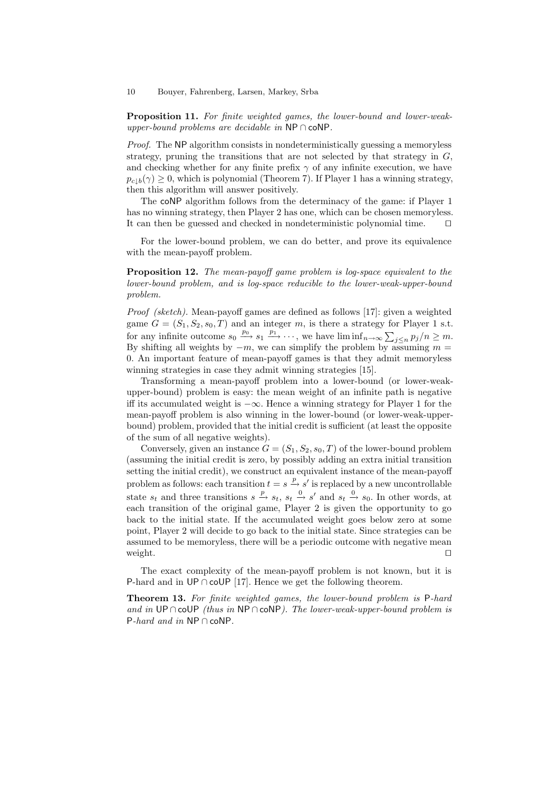Proposition 11. For finite weighted games, the lower-bound and lower-weakupper-bound problems are decidable in  $NP \cap coNP$ .

Proof. The NP algorithm consists in nondeterministically guessing a memoryless strategy, pruning the transitions that are not selected by that strategy in  $G$ , and checking whether for any finite prefix  $\gamma$  of any infinite execution, we have  $p_{c|b}(\gamma) \geq 0$ , which is polynomial (Theorem 7). If Player 1 has a winning strategy, then this algorithm will answer positively.

The coNP algorithm follows from the determinacy of the game: if Player 1 has no winning strategy, then Player 2 has one, which can be chosen memoryless. It can then be guessed and checked in nondeterministic polynomial time. ⊓⊔

For the lower-bound problem, we can do better, and prove its equivalence with the mean-payoff problem.

Proposition 12. The mean-payoff game problem is log-space equivalent to the lower-bound problem, and is log-space reducible to the lower-weak-upper-bound problem.

Proof (sketch). Mean-payoff games are defined as follows [17]: given a weighted game  $G = (S_1, S_2, s_0, T)$  and an integer m, is there a strategy for Player 1 s.t. for any infinite outcome  $s_0 \stackrel{p_0}{\longrightarrow} s_1 \stackrel{p_1}{\longrightarrow} \cdots$ , we have  $\liminf_{n\to\infty} \sum_{j\leq n} p_j/n \geq m$ . By shifting all weights by  $-m$ , we can simplify the problem by assuming  $m =$ 0. An important feature of mean-payoff games is that they admit memoryless winning strategies in case they admit winning strategies [15].

Transforming a mean-payoff problem into a lower-bound (or lower-weakupper-bound) problem is easy: the mean weight of an infinite path is negative iff its accumulated weight is  $-\infty$ . Hence a winning strategy for Player 1 for the mean-payoff problem is also winning in the lower-bound (or lower-weak-upperbound) problem, provided that the initial credit is sufficient (at least the opposite of the sum of all negative weights).

Conversely, given an instance  $G = (S_1, S_2, s_0, T)$  of the lower-bound problem (assuming the initial credit is zero, by possibly adding an extra initial transition setting the initial credit), we construct an equivalent instance of the mean-payoff problem as follows: each transition  $t = s \stackrel{p}{\to} s'$  is replaced by a new uncontrollable state  $s_t$  and three transitions  $s \stackrel{p}{\to} s_t$ ,  $s_t \stackrel{0}{\to} s'$  and  $s_t \stackrel{0}{\to} s_0$ . In other words, at each transition of the original game, Player 2 is given the opportunity to go back to the initial state. If the accumulated weight goes below zero at some point, Player 2 will decide to go back to the initial state. Since strategies can be assumed to be memoryless, there will be a periodic outcome with negative mean weight. □

The exact complexity of the mean-payoff problem is not known, but it is P-hard and in UP  $\cap$  coUP [17]. Hence we get the following theorem.

Theorem 13. For finite weighted games, the lower-bound problem is P-hard and in UP ∩ coUP (thus in NP ∩ coNP). The lower-weak-upper-bound problem is P-hard and in NP∩ coNP.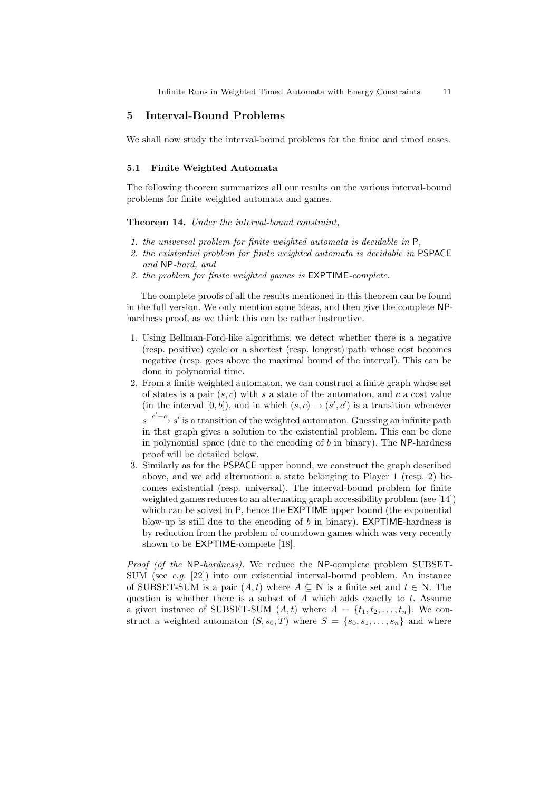#### 5 Interval-Bound Problems

We shall now study the interval-bound problems for the finite and timed cases.

#### 5.1 Finite Weighted Automata

The following theorem summarizes all our results on the various interval-bound problems for finite weighted automata and games.

Theorem 14. Under the interval-bound constraint,

- 1. the universal problem for finite weighted automata is decidable in P,
- 2. the existential problem for finite weighted automata is decidable in PSPACE and NP-hard, and
- 3. the problem for finite weighted games is EXPTIME-complete.

The complete proofs of all the results mentioned in this theorem can be found in the full version. We only mention some ideas, and then give the complete NPhardness proof, as we think this can be rather instructive.

- 1. Using Bellman-Ford-like algorithms, we detect whether there is a negative (resp. positive) cycle or a shortest (resp. longest) path whose cost becomes negative (resp. goes above the maximal bound of the interval). This can be done in polynomial time.
- 2. From a finite weighted automaton, we can construct a finite graph whose set of states is a pair  $(s, c)$  with s a state of the automaton, and c a cost value (in the interval [0, b]), and in which  $(s, c) \rightarrow (s', c')$  is a transition whenever  $s \xrightarrow{c'-c} s'$  is a transition of the weighted automaton. Guessing an infinite path in that graph gives a solution to the existential problem. This can be done in polynomial space (due to the encoding of b in binary). The NP-hardness proof will be detailed below.
- 3. Similarly as for the PSPACE upper bound, we construct the graph described above, and we add alternation: a state belonging to Player 1 (resp. 2) becomes existential (resp. universal). The interval-bound problem for finite weighted games reduces to an alternating graph accessibility problem (see [14]) which can be solved in P, hence the **EXPTIME** upper bound (the exponential blow-up is still due to the encoding of b in binary). **EXPTIME-hardness** is by reduction from the problem of countdown games which was very recently shown to be EXPTIME-complete [18].

Proof (of the NP-hardness). We reduce the NP-complete problem SUBSET-SUM (see e.g. [22]) into our existential interval-bound problem. An instance of SUBSET-SUM is a pair  $(A, t)$  where  $A \subseteq \mathbb{N}$  is a finite set and  $t \in \mathbb{N}$ . The question is whether there is a subset of  $A$  which adds exactly to  $t$ . Assume a given instance of SUBSET-SUM  $(A, t)$  where  $A = \{t_1, t_2, \ldots, t_n\}$ . We construct a weighted automaton  $(S, s_0, T)$  where  $S = \{s_0, s_1, \ldots, s_n\}$  and where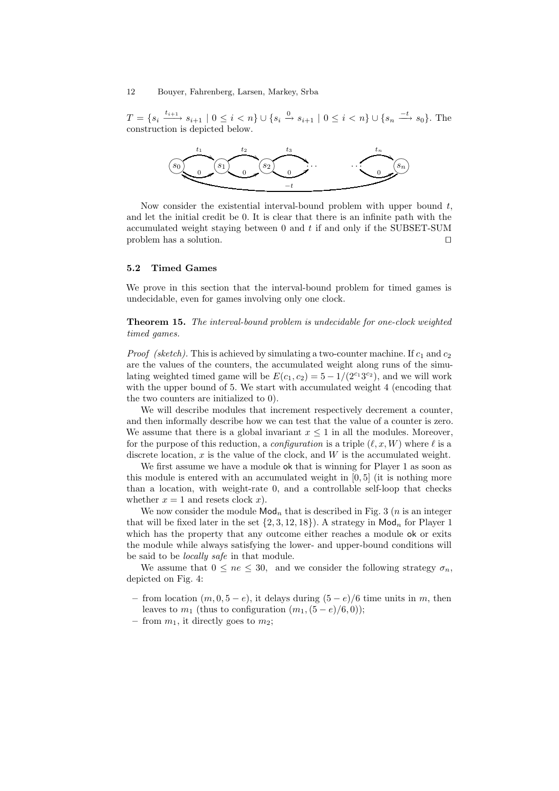$T = \{s_i \xrightarrow{t_{i+1}} s_{i+1} \mid 0 \leq i < n\} \cup \{s_i \xrightarrow{0} s_{i+1} \mid 0 \leq i < n\} \cup \{s_n \xrightarrow{-t} s_0\}.$  The construction is depicted below.



Now consider the existential interval-bound problem with upper bound  $t$ , and let the initial credit be 0. It is clear that there is an infinite path with the accumulated weight staying between  $0$  and  $t$  if and only if the SUBSET-SUM problem has a solution. ⊓⊔

#### 5.2 Timed Games

We prove in this section that the interval-bound problem for timed games is undecidable, even for games involving only one clock.

Theorem 15. The interval-bound problem is undecidable for one-clock weighted timed games.

*Proof (sketch)*. This is achieved by simulating a two-counter machine. If  $c_1$  and  $c_2$ are the values of the counters, the accumulated weight along runs of the simulating weighted timed game will be  $E(c_1, c_2) = 5 - 1/(2^{c_1}3^{c_2})$ , and we will work with the upper bound of 5. We start with accumulated weight 4 (encoding that the two counters are initialized to 0).

We will describe modules that increment respectively decrement a counter, and then informally describe how we can test that the value of a counter is zero. We assume that there is a global invariant  $x \leq 1$  in all the modules. Moreover, for the purpose of this reduction, a *configuration* is a triple  $(\ell, x, W)$  where  $\ell$  is a discrete location,  $x$  is the value of the clock, and  $W$  is the accumulated weight.

We first assume we have a module ok that is winning for Player 1 as soon as this module is entered with an accumulated weight in [0, 5] (it is nothing more than a location, with weight-rate 0, and a controllable self-loop that checks whether  $x = 1$  and resets clock x.

We now consider the module  $\mathsf{Mod}_n$  that is described in Fig. 3 (*n* is an integer that will be fixed later in the set  $\{2, 3, 12, 18\}$ . A strategy in  $Mod_n$  for Player 1 which has the property that any outcome either reaches a module ok or exits the module while always satisfying the lower- and upper-bound conditions will be said to be locally safe in that module.

We assume that  $0 \leq ne \leq 30$ , and we consider the following strategy  $\sigma_n$ , depicted on Fig. 4:

- from location  $(m, 0, 5 e)$ , it delays during  $(5 e)/6$  time units in m, then leaves to  $m_1$  (thus to configuration  $(m_1,(5-e)/6,0)$ );
- from  $m_1$ , it directly goes to  $m_2$ ;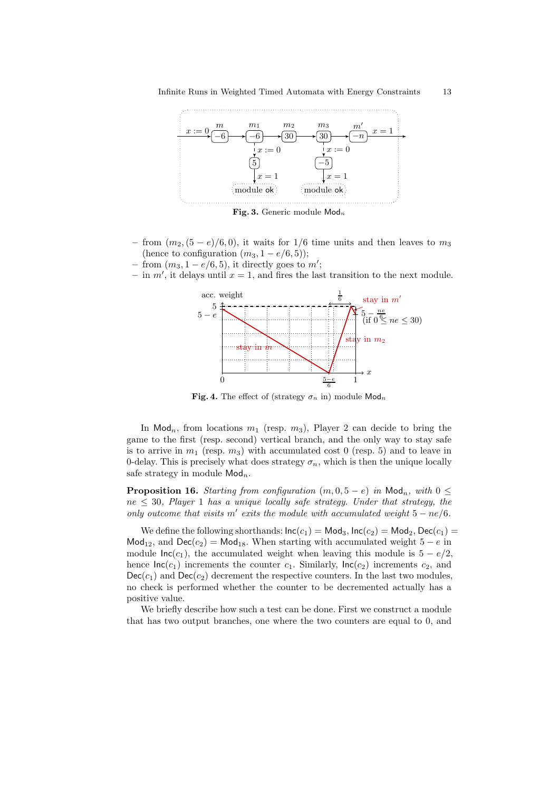

Fig. 3. Generic module  $Mod_n$ 

- from  $(m_2,(5-e)/6,0)$ , it waits for 1/6 time units and then leaves to  $m_3$ (hence to configuration  $(m_3, 1 - e/6, 5)$ );
- from  $(m_3, 1-e/6, 5)$ , it directly goes to m';
- in  $m'$ , it delays until  $x = 1$ , and fires the last transition to the next module.



Fig. 4. The effect of (strategy  $\sigma_n$  in) module  $\mathsf{Mod}_n$ 

In  $Mod_n$ , from locations  $m_1$  (resp.  $m_3$ ), Player 2 can decide to bring the game to the first (resp. second) vertical branch, and the only way to stay safe is to arrive in  $m_1$  (resp.  $m_3$ ) with accumulated cost 0 (resp. 5) and to leave in 0-delay. This is precisely what does strategy  $\sigma_n$ , which is then the unique locally safe strategy in module  $\mathsf{Mod}_n$ .

**Proposition 16.** Starting from configuration  $(m, 0, 5 - e)$  in Mod<sub>n</sub>, with  $0 \leq$  $ne \leq 30$ , Player 1 has a unique locally safe strategy. Under that strategy, the only outcome that visits m' exits the module with accumulated weight  $5 - ne/6$ .

We define the following shorthands:  $\text{Inc}(c_1) = \text{Mod}_3$ ,  $\text{Inc}(c_2) = \text{Mod}_2$ ,  $\text{Dec}(c_1) =$  $\text{Mod}_{12}$ , and  $\text{Dec}(c_2) = \text{Mod}_{18}$ . When starting with accumulated weight  $5 - e$  in module  $\text{Inc}(c_1)$ , the accumulated weight when leaving this module is  $5 - e/2$ , hence  $\text{Inc}(c_1)$  increments the counter  $c_1$ . Similarly,  $\text{Inc}(c_2)$  increments  $c_2$ , and  $Dec(c_1)$  and  $Dec(c_2)$  decrement the respective counters. In the last two modules, no check is performed whether the counter to be decremented actually has a positive value.

We briefly describe how such a test can be done. First we construct a module that has two output branches, one where the two counters are equal to 0, and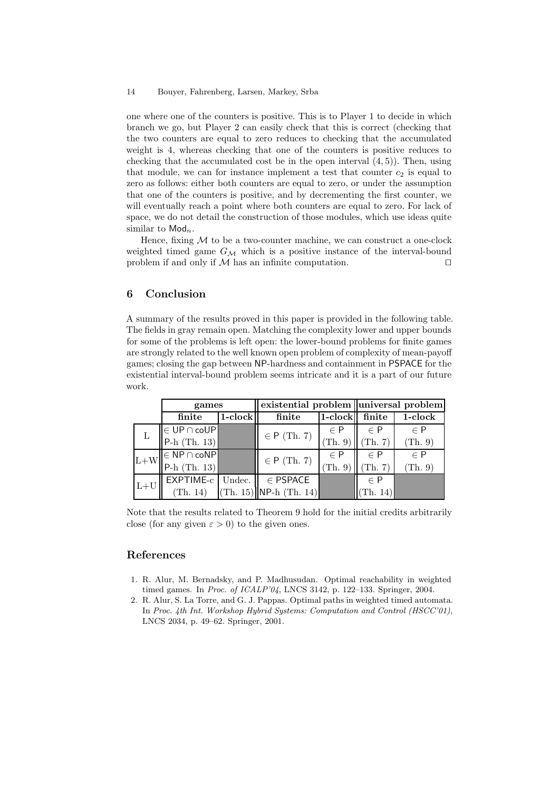one where one of the counters is positive. This is to Player 1 to decide in which branch we go, but Player 2 can easily check that this is correct (checking that the two counters are equal to zero reduces to checking that the accumulated weight is 4, whereas checking that one of the counters is positive reduces to checking that the accumulated cost be in the open interval  $(4, 5)$ ). Then, using that module, we can for instance implement a test that counter  $c_2$  is equal to zero as follows: either both counters are equal to zero, or under the assumption that one of the counters is positive, and by decrementing the first counter, we will eventually reach a point where both counters are equal to zero. For lack of space, we do not detail the construction of those modules, which use ideas quite similar to  $\mathsf{Mod}_n$ .

Hence, fixing  $M$  to be a two-counter machine, we can construct a one-clock weighted timed game  $G_{\mathcal{M}}$  which is a positive instance of the interval-bound problem if and only if M has an infinite computation. □

# 6 Conclusion

A summary of the results proved in this paper is provided in the following table. The fields in gray remain open. Matching the complexity lower and upper bounds for some of the problems is left open: the lower-bound problems for finite games are strongly related to the well known open problem of complexity of mean-payoff games; closing the gap between NP-hardness and containment in PSPACE for the existential interval-bound problem seems intricate and it is a part of our future work.

|                             | games                                                                                |            | existential problem universal problem |                      |          |                    |
|-----------------------------|--------------------------------------------------------------------------------------|------------|---------------------------------------|----------------------|----------|--------------------|
|                             | finite                                                                               | $1$ -clock | finite                                | $\ 1\text{-clock}\ $ | finite   | 1-clock            |
| $\mathbf{L}$                | $\begin{array}{c} \in \text{UP} \cap \text{coUP} \\ \text{P-h (Th. 13)} \end{array}$ |            | $\in$ P (Th. 7)                       | $\in$ P              | $\in$ P  | $\in$ P            |
|                             |                                                                                      |            |                                       | (Th. 9)              | (Th. 7)  | $(\text{Th. } 9)$  |
| $L+W$                       | $\in$ NP $\cap$ coNP                                                                 |            | $\in$ P (Th. 7)                       | $\in P$              | $\in$ P  | $\overline{\in P}$ |
|                             | $P-h$ (Th. 13)                                                                       |            |                                       | (Th. 9)              | (Th. 7)  | $(\text{Th. } 9)$  |
| $\mathsf{L}\!+\!\mathsf{U}$ | $EXPTIME-c$ Undec. $\parallel$                                                       |            | $\in$ PSPACE                          |                      | $\in P$  |                    |
|                             | (Th. 14)                                                                             |            | $ $ (Th. 15)   NP-h (Th. 14)          |                      | (Th. 14) |                    |

Note that the results related to Theorem 9 hold for the initial credits arbitrarily close (for any given  $\varepsilon > 0$ ) to the given ones.

# References

- 1. R. Alur, M. Bernadsky, and P. Madhusudan. Optimal reachability in weighted timed games. In Proc. of ICALP'04, LNCS 3142, p. 122–133. Springer, 2004.
- 2. R. Alur, S. La Torre, and G. J. Pappas. Optimal paths in weighted timed automata. In Proc. 4th Int. Workshop Hybrid Systems: Computation and Control (HSCC'01), LNCS 2034, p. 49–62. Springer, 2001.